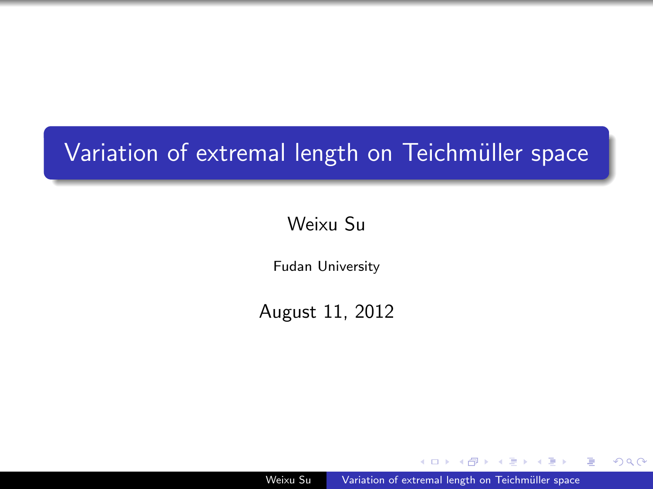# Variation of extremal length on Teichmüller space

Weixu Su

Fudan University

August 11, 2012

Weixu Su Variation of extremal length on Teichmüller space

 $\equiv$   $\sim$ 

<span id="page-0-0"></span>つくへ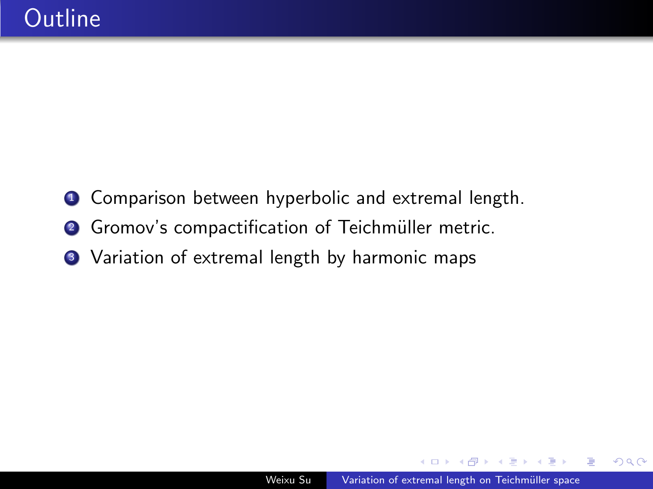- **1** Comparison between hyperbolic and extremal length.
- <sup>2</sup> Gromov's compactification of Teichmüller metric.
- Variation of extremal length by harmonic maps

 $2Q$ 

The South Tel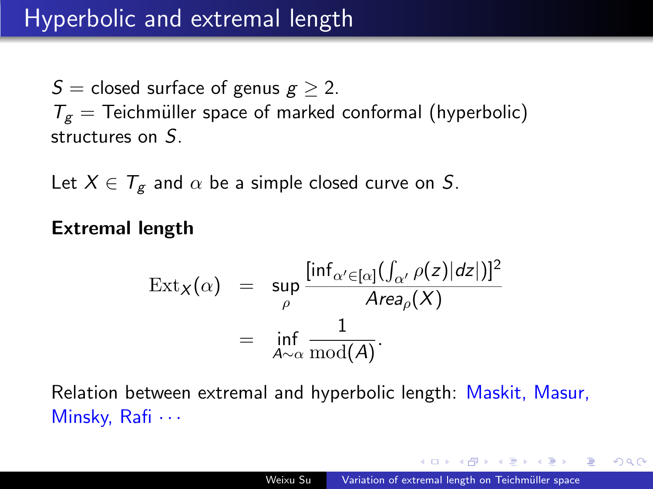S = closed surface of genus  $g \geq 2$ .  $T_g$  = Teichmüller space of marked conformal (hyperbolic) structures on S.

Let  $X \in \mathcal{T}_{\alpha}$  and  $\alpha$  be a simple closed curve on S.

Extremal length

$$
\operatorname{Ext}_{X}(\alpha) = \sup_{\rho} \frac{[\inf_{\alpha' \in [\alpha]} (\int_{\alpha'} \rho(z)|dz|)]^{2}}{Area_{\rho}(X)}
$$

$$
= \inf_{A \sim \alpha} \frac{1}{\operatorname{mod}(A)}.
$$

Relation between extremal and hyperbolic length: Maskit, Masur, Minsky, Rafi  $\cdots$ 

a masa mas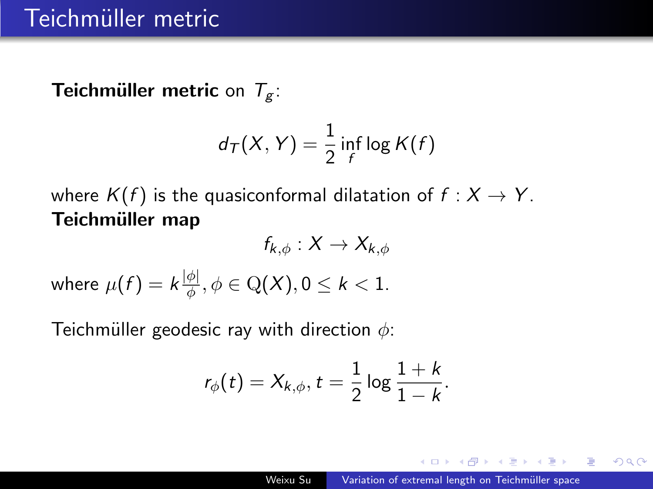**Teichmüller metric on**  $T_g$ **:** 

$$
d_{\mathcal{T}}(X,Y)=\frac{1}{2}\inf_{f}\log K(f)
$$

where  $K(f)$  is the quasiconformal dilatation of  $f : X \to Y$ . Teichmüller map  $f \times V \times V$ 

$$
I_{k,\phi}: \Lambda \to \Lambda_{k,\phi}
$$
  
where  $\mu(f) = k \frac{|\phi|}{\phi}, \phi \in \mathcal{Q}(X), 0 \le k < 1$ .

Teichmüller geodesic ray with direction  $\phi$ :

$$
r_{\phi}(t)=X_{k,\phi}, t=\frac{1}{2}\log\frac{1+k}{1-k}.
$$

 $2990$ 

重

k Erkik Erki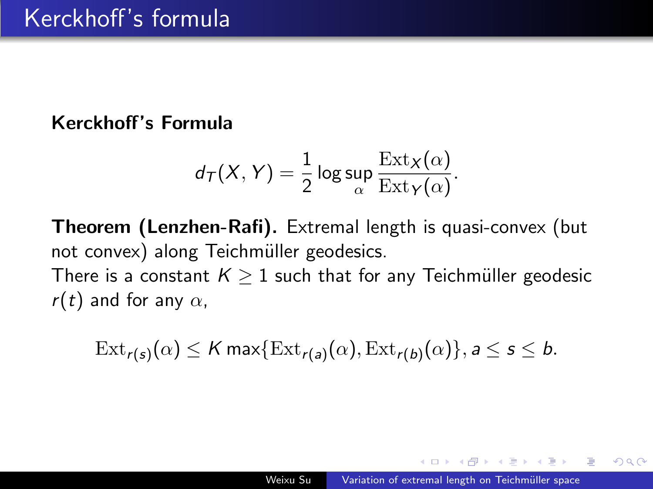#### Kerckhoff's Formula

$$
d_{\mathcal{T}}(X,Y) = \frac{1}{2} \log \sup_{\alpha} \frac{\text{Ext}_X(\alpha)}{\text{Ext}_Y(\alpha)}.
$$

Theorem (Lenzhen-Rafi). Extremal length is quasi-convex (but not convex) along Teichmüller geodesics. There is a constant  $K > 1$  such that for any Teichmüller geodesic

r(t) and for any  $\alpha$ ,

$$
\mathrm{Ext}_{r(s)}(\alpha) \leq K \max \{ \mathrm{Ext}_{r(a)}(\alpha), \mathrm{Ext}_{r(b)}(\alpha) \}, a \leq s \leq b.
$$

<span id="page-4-0"></span>つくへ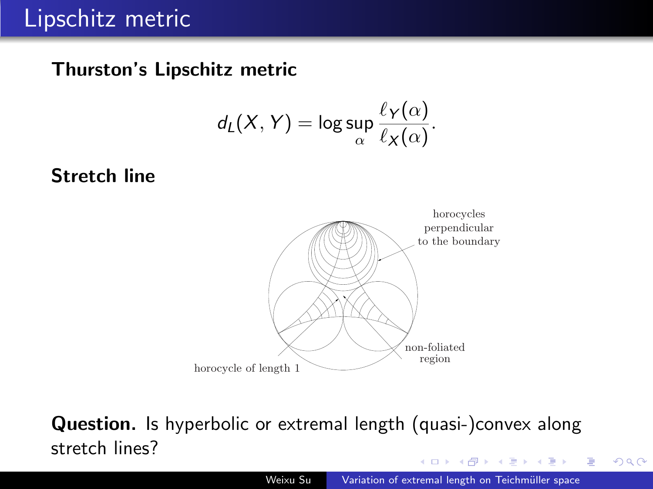#### Thurston's Lipschitz metric  $\mu$ ston s eipschitz metric

$$
d_L(X,Y)=\log\sup_{\alpha}\frac{\ell_Y(\alpha)}{\ell_X(\alpha)}.
$$

#### $\frac{1}{100}$  Stretch line boundary consists of the pieces of the pieces of horocycles that are pairwise tangent (see tangent (see tangent (see tangent (see tangent (see tangent (see tangent (see tangent (see tangent (see tangent (see tangent) (see



#### $\bm{\mathsf{Question.}}$  Is hyperbolic or extremal length (quasi-)convex along stretch lines? proved the following fundamental result.

<span id="page-5-0"></span> $QQ$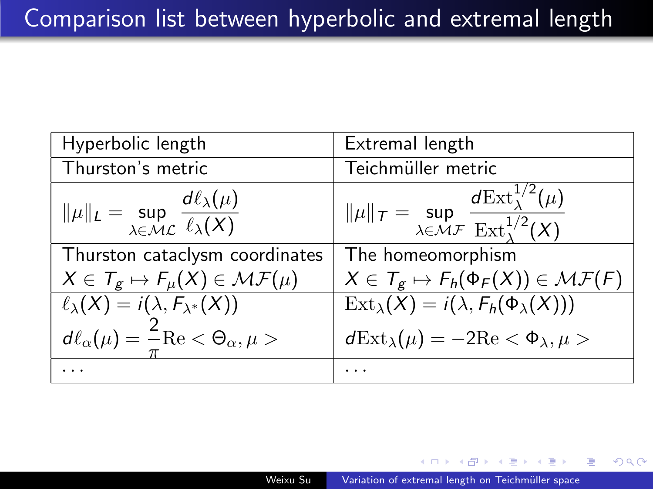| Hyperbolic length                                                                              | Extremal length                                                                                                                      |
|------------------------------------------------------------------------------------------------|--------------------------------------------------------------------------------------------------------------------------------------|
| Thurston's metric                                                                              | Teichmüller metric                                                                                                                   |
| $\ \mu\ _{L} = \sup_{\lambda \in \mathcal{ML}} \frac{d\ell_{\lambda}(\mu)}{\ell_{\lambda}(X)}$ | $\ \mu\ _{\mathcal{T}} = \sup_{\lambda \in \mathcal{MF}} \frac{d\mathrm{Ext}^{1/2}_{\lambda}(\mu)}{\mathrm{Ext}^{1/2}_{\lambda}(X)}$ |
| Thurston cataclysm coordinates                                                                 | The homeomorphism                                                                                                                    |
| $X \in \mathcal{T}_{g} \mapsto F_{\mu}(X) \in \mathcal{MF}(\mu)$                               | $X \in \mathcal{T}_g \mapsto F_h(\Phi_F(X)) \in \mathcal{MF}(F)$                                                                     |
| $\ell_{\lambda}(X) = i(\lambda, F_{\lambda^*}(X))$                                             | $\text{Ext}_{\lambda}(X) = i(\lambda, F_h(\Phi_{\lambda}(X)))$                                                                       |
| $\overline{d\ell_{\alpha}(\mu)} = \frac{2}{\pi} \text{Re} < \Theta_{\alpha}, \mu >$            | $d\text{Ext}_{\lambda}(\mu) = -2\text{Re} < \Phi_{\lambda}, \mu >$                                                                   |
|                                                                                                |                                                                                                                                      |

<span id="page-6-0"></span> $2Q$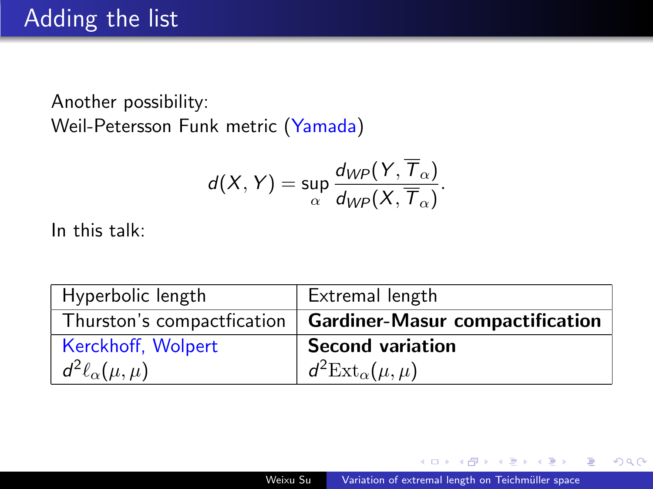Another possibility: Weil-Petersson Funk metric (Yamada)

$$
d(X, Y) = \sup_{\alpha} \frac{d_{WP}(Y, \overline{T}_{\alpha})}{d_{WP}(X, \overline{T}_{\alpha})}.
$$

In this talk:

| Hyperbolic length           | Extremal length                                              |
|-----------------------------|--------------------------------------------------------------|
|                             | Thurston's compactfication   Gardiner-Masur compactification |
| Kerckhoff, Wolpert          | <b>Second variation</b>                                      |
| $d^2\ell_{\alpha}(\mu,\mu)$ | $d^2 \text{Ext}_{\alpha}(\mu, \mu)$                          |

∍  $\sim$  つくへ

∍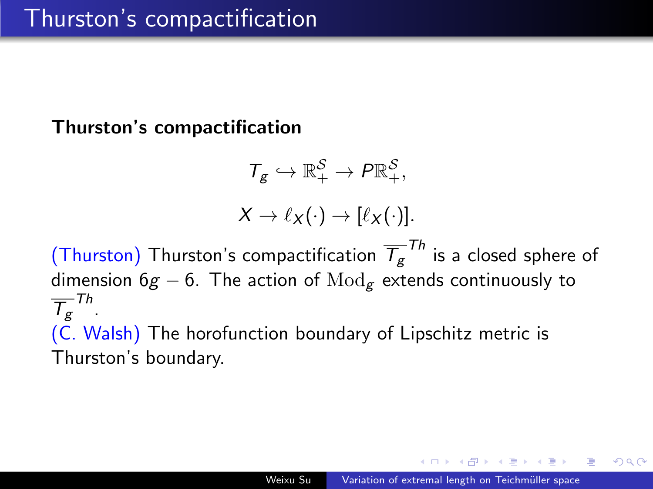#### Thurston's compactification

$$
\mathcal{T}_{g} \hookrightarrow \mathbb{R}_{+}^{S} \to P \mathbb{R}_{+}^{S},
$$

$$
X \to \ell_{X}(\cdot) \to [\ell_{X}(\cdot)].
$$

(Thurston) Thurston's compactification  $\overline{\mathcal{T}}_{g}^{-\mathcal{T}h}$  is a closed sphere of dimension  $6g - 6$ . The action of  $Mod_g$  extends continuously to  $\overline{\mathcal{T}}_{\mathcal{g}}^{\mathsf{Th}}$  . (C. Walsh) The horofunction boundary of Lipschitz metric is Thurston's boundary.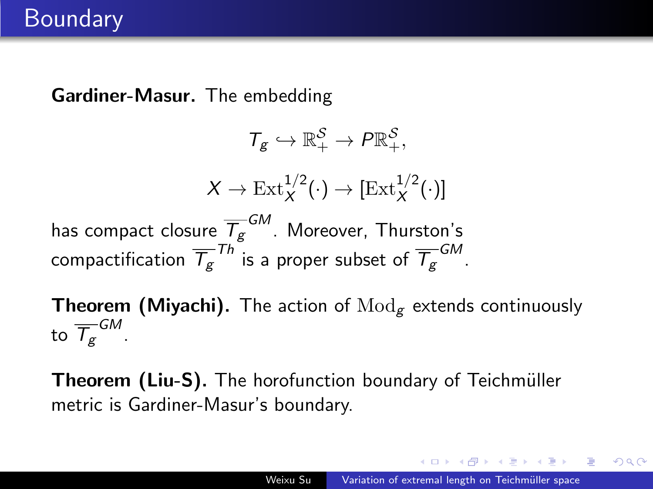Gardiner-Masur. The embedding

$$
T_g \hookrightarrow \mathbb{R}_+^{\mathcal{S}} \to P \mathbb{R}_+^{\mathcal{S}},
$$

$$
X \to \text{Ext}^{1/2}_{X}(\cdot) \to [\text{Ext}^{1/2}_{X}(\cdot)]
$$
has compact closure  $\overline{T_g}^{GM}$ . Moreover, Thurston's  
compactification  $\overline{T_g}^{Th}$  is a proper subset of  $\overline{T_g}^{GM}$ .

**Theorem (Miyachi).** The action of  $\text{Mod}_{g}$  extends continuously to  $\overline{\mathcal{T}}_g^{\mathsf{\scriptscriptstyle GM}}$  .

Theorem (Liu-S). The horofunction boundary of Teichmüller metric is Gardiner-Masur's boundary.

a masa mas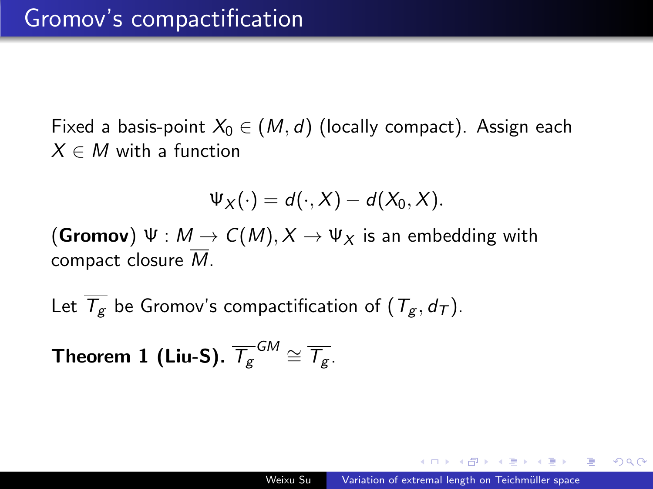Fixed a basis-point  $X_0 \in (M, d)$  (locally compact). Assign each  $X \in M$  with a function

$$
\Psi_X(\cdot)=d(\cdot,X)-d(X_0,X).
$$

(Gromov)  $\Psi : M \to C(M), X \to \Psi_X$  is an embedding with compact closure  $\overline{M}$ .

Let  $\overline{T_{\sigma}}$  be Gromov's compactification of  $(T_{\sigma}, d_T)$ .

Theorem  $1$  (Liu-S).  $\overline{\mathcal{T}_{\mathcal{g}}^{GM}}\cong\overline{\mathcal{T}_{\mathcal{g}}}.$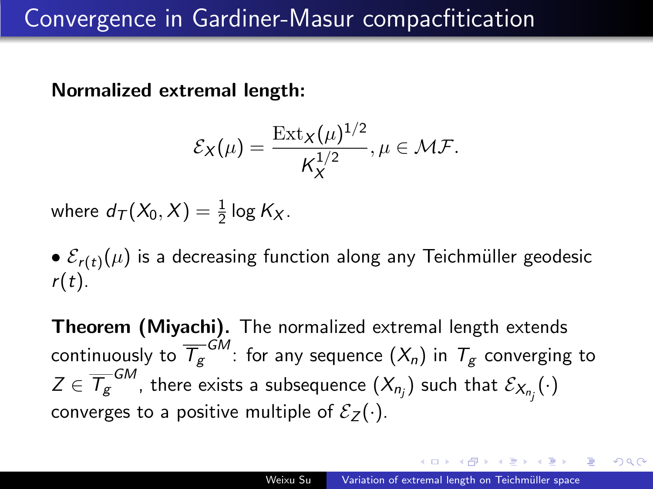## Convergence in Gardiner-Masur compacfitication

Normalized extremal length:

$$
\mathcal{E}_X(\mu) = \frac{\operatorname{Ext}_X(\mu)^{1/2}}{K_X^{1/2}}, \mu \in \mathcal{MF}.
$$

where  $d_{\mathcal{T}}(X_0,X)=\frac{1}{2}\log K_X$ .

 $\bullet$   $\mathcal{E}_{r(t)}(\mu)$  is a decreasing function along any Teichmüller geodesic  $r(t)$ .

Theorem (Miyachi). The normalized extremal length extends continuously to  $\overline{\mathcal{T}}_{\mathcal{g}}^{G M}$ : for any sequence  $(X_n)$  in  $\mathcal{T}_{\mathcal{g}}$  converging to  $Z\in\overline{\mathcal{T}_{\mathcal{B}}}^{\mathsf{GM}}$ , there exists a subsequence  $(X_{n_j})$  such that  $\mathcal{E}_{X_{n_j}}(\cdot)$ converges to a positive multiple of  $\mathcal{E}_7(\cdot)$ .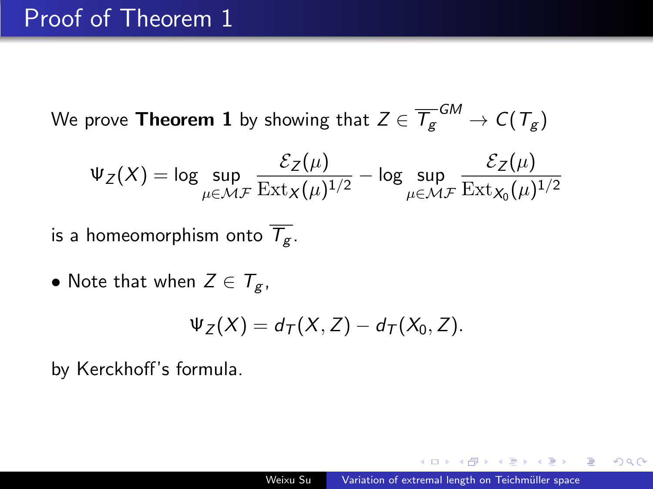## Proof of Theorem 1

We prove <code>Theorem 1</code> by showing that  $Z\in \overline{\mathcal{T}_{\mathcal{S}}}^{\mathcal{G} M} \rightarrow \mathcal{C}(\mathcal{T}_{\mathcal{S}})$ 

$$
\Psi_Z(X) = \log \sup_{\mu \in \mathcal{MF}} \frac{\mathcal{E}_Z(\mu)}{\operatorname{Ext}_X(\mu)^{1/2}} - \log \sup_{\mu \in \mathcal{MF}} \frac{\mathcal{E}_Z(\mu)}{\operatorname{Ext}_{X_0}(\mu)^{1/2}}
$$

is a homeomorphism onto  $\overline{T_g}$ .

• Note that when  $Z \in \mathcal{T}_{g}$ ,

$$
\Psi_Z(X)=d_T(X,Z)-d_T(X_0,Z).
$$

by Kerckhoff's formula.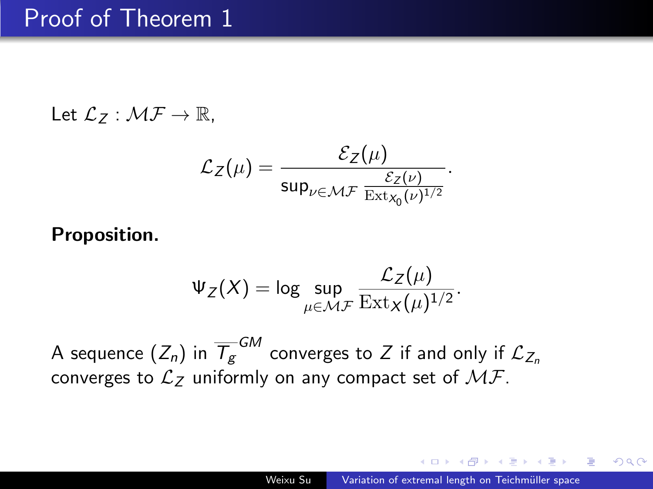## Proof of Theorem 1

$$
\mathsf{Let}\ \mathcal{L}_Z:\mathcal{MF}\rightarrow\mathbb{R},
$$

$$
\mathcal{L}_Z(\mu) = \frac{\mathcal{E}_Z(\mu)}{\sup_{\nu \in \mathcal{MF}} \frac{\mathcal{E}_Z(\nu)}{\mathrm{Ext}_{\mathsf{x}_0}(\nu)^{1/2}}}.
$$

Proposition.

$$
\Psi_Z(X) = \log \sup_{\mu \in \mathcal{MF}} \frac{\mathcal{L}_Z(\mu)}{\operatorname{Ext}_X(\mu)^{1/2}}.
$$

A sequence  $(Z_n)$  in  $\overline{\mathcal{T}_{g}}^{GM}$  converges to  $Z$  if and only if  $\mathcal{L}_{Z_n}$ converges to  $\mathcal{L}_Z$  uniformly on any compact set of  $\mathcal{MF}.$ 

a masa masa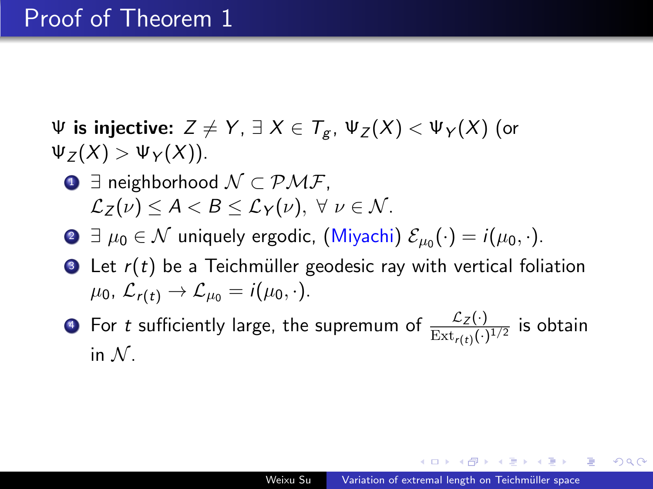$\Psi$  is injective:  $Z \neq Y$ ,  $\exists X \in T_{\alpha}$ ,  $\Psi_Z(X) < \Psi_Y(X)$  (or  $\Psi_Z(X) > \Psi_Y(X)$ ).

- **1** ∃ neighborhood  $N \subset \mathcal{PMF}$ .  $\mathcal{L}_Z(\nu) \leq A \leq B \leq \mathcal{L}_Y(\nu), \ \forall \ \nu \in \mathcal{N}.$
- **∂**  $\exists \mu_0 \in \mathcal{N}$  uniquely ergodic, (Miyachi)  $\mathcal{E}_{\mu_0}(\cdot) = i(\mu_0, \cdot)$ .
- $\bullet$  Let  $r(t)$  be a Teichmüller geodesic ray with vertical foliation  $\mu_0$ ,  $\mathcal{L}_{r(t)} \rightarrow \mathcal{L}_{\mu_0} = i(\mu_0, \cdot).$
- $\bullet$  For  $t$  sufficiently large, the supremum of  $\frac{\mathcal{L}_Z(\cdot)}{{\rm Ext}_{r(t)}(\cdot)^{1/2}}$  is obtain in  $N$ .

桐 トライモ トライモ トリー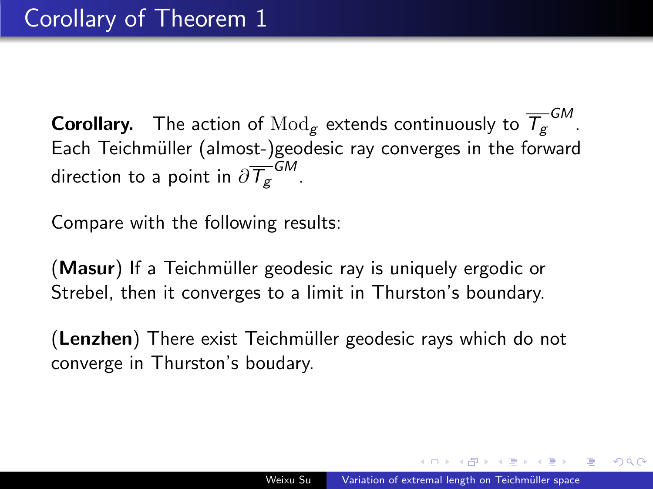<code>Corollary</code>. The action of  $\text{Mod}_g$  extends continuously to  $\overline{\mathcal{T}}_g^{G M}$ . Each Teichmüller (almost-)geodesic ray converges in the forward direction to a point in  $\partial \overline{\mathcal{T}_{\mathcal{g}}}^{\mathcal{GM}}$  .

Compare with the following results:

(Masur) If a Teichmüller geodesic ray is uniquely ergodic or Strebel, then it converges to a limit in Thurston's boundary.

(Lenzhen) There exist Teichmüller geodesic rays which do not converge in Thurston's boudary.

つくい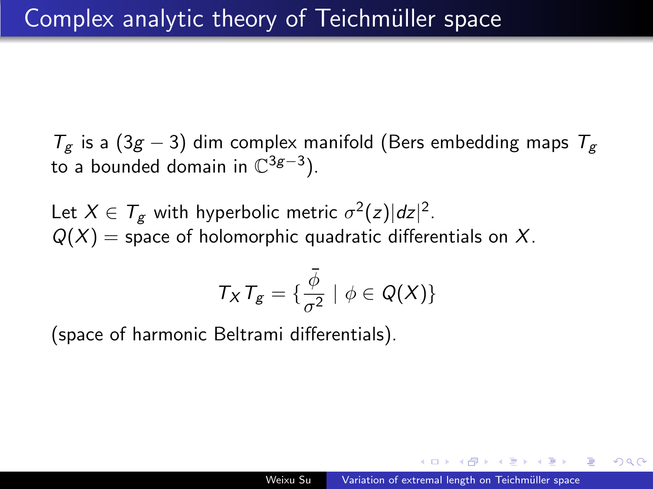$T_g$  is a (3g – 3) dim complex manifold (Bers embedding maps  $T_g$ to a bounded domain in  $\mathbb{C}^{3g-3}$ ).

Let  $X \in T_g$  with hyperbolic metric  $\sigma^2(z)|dz|^2$ .  $Q(X)$  = space of holomorphic quadratic differentials on X.

$$
T_X T_g = \{ \frac{\overline{\phi}}{\sigma^2} \mid \phi \in Q(X) \}
$$

(space of harmonic Beltrami differentials).

a masa mas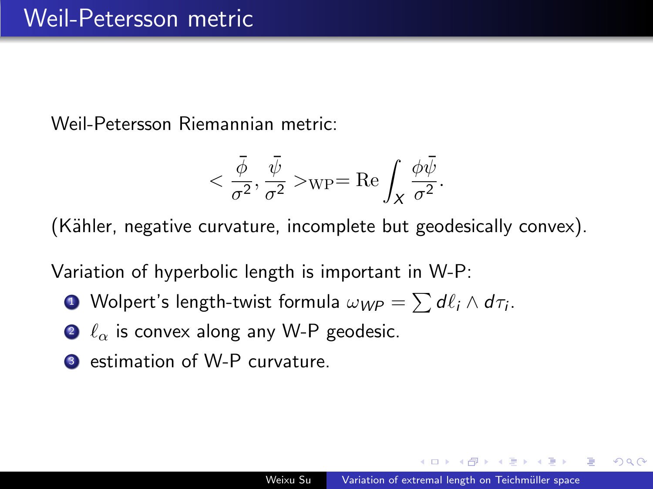Weil-Petersson Riemannian metric:

$$
<\frac{\bar{\phi}}{\sigma^2},\frac{\bar{\psi}}{\sigma^2}>\!\!{\rm\!}=\mathrm{Re}\int_X\frac{\phi\bar{\psi}}{\sigma^2}.
$$

(Kähler, negative curvature, incomplete but geodesically convex).

Variation of hyperbolic length is important in W-P:

- **1** Wolpert's length-twist formula  $\omega_{\text{WP}} = \sum d\ell_i \wedge d\tau_i$ .
- $\bullet$   $\ell_{\alpha}$  is convex along any W-P geodesic.
- <sup>3</sup> estimation of W-P curvature.

つくい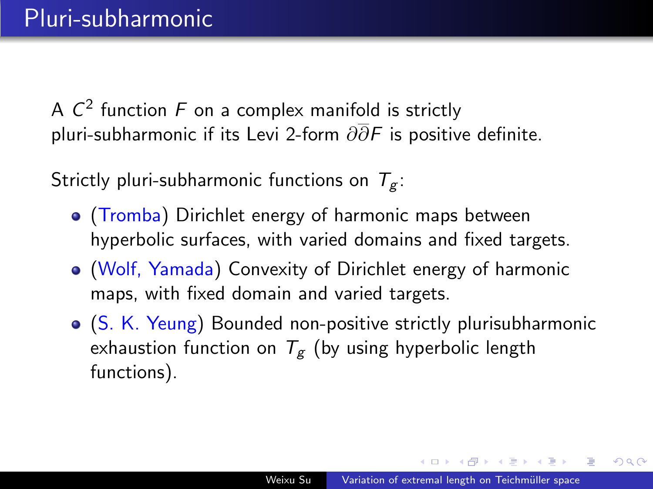A  $\mathcal{C}^2$  function  $F$  on a complex manifold is strictly pluri-subharmonic if its Levi 2-form  $\partial \overline{\partial} F$  is positive definite.

Strictly pluri-subharmonic functions on  $T_g$ :

- (Tromba) Dirichlet energy of harmonic maps between hyperbolic surfaces, with varied domains and fixed targets.
- (Wolf, Yamada) Convexity of Dirichlet energy of harmonic maps, with fixed domain and varied targets.
- (S. K. Yeung) Bounded non-positive strictly plurisubharmonic exhaustion function on  $T_g$  (by using hyperbolic length functions).

A & Y B & Y B &

つくい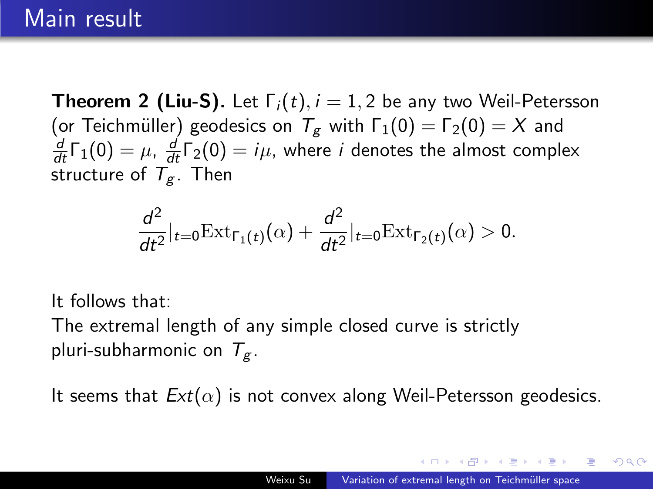## Main result

**Theorem 2 (Liu-S).** Let  $\Gamma_i(t)$ ,  $i = 1, 2$  be any two Weil-Petersson (or Teichmüller) geodesics on  $T_g$  with  $\Gamma_1(0) = \Gamma_2(0) = X$  and  $\frac{d}{dt}$ Γ<sub>1</sub>(0) =  $\mu$ ,  $\frac{d}{dt}$ Γ<sub>2</sub>(0) =  $i\mu$ , where *i* denotes the almost complex structure of  $T_g$ . Then

$$
\frac{d^2}{dt^2}\big|_{t=0} \text{Ext}_{\Gamma_1(t)}(\alpha) + \frac{d^2}{dt^2}\big|_{t=0} \text{Ext}_{\Gamma_2(t)}(\alpha) > 0.
$$

It follows that:

The extremal length of any simple closed curve is strictly pluri-subharmonic on  $T_g$ .

It seems that  $Ext(\alpha)$  is not convex along Weil-Petersson geodesics.

医尿管的尿管的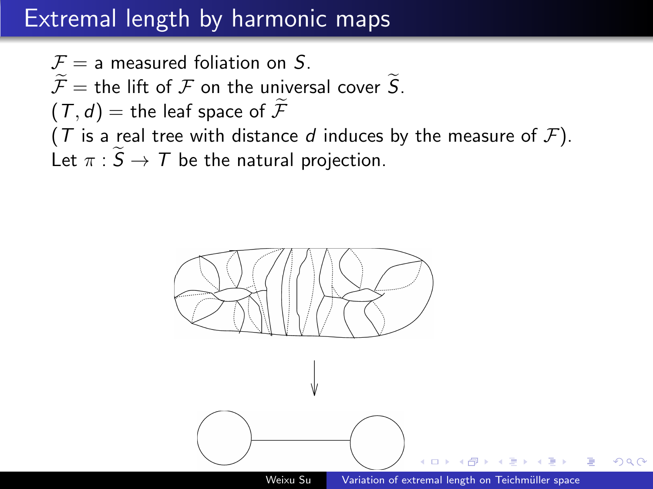# Extremal length by harmonic maps

$$
\mathcal{F} = \text{a measured foliation on } S.
$$
\n
$$
\widetilde{\mathcal{F}} = \text{the lift of } \mathcal{F} \text{ on the universal cover } \widetilde{S}.
$$
\n
$$
(T, d) = \text{the leaf space of } \widetilde{\mathcal{F}}
$$
\n
$$
(T \text{ is a real tree with distance } d \text{ induces by the measure of } \mathcal{F}).
$$
\nLet  $\pi : \widetilde{S} \to T$  be the natural projection.

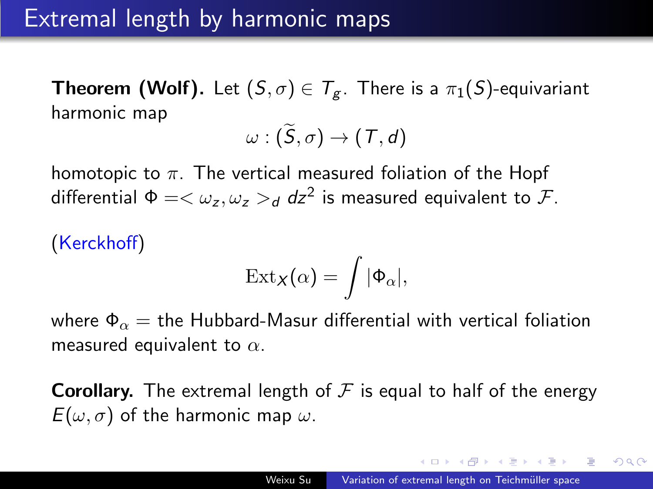**Theorem (Wolf).** Let  $(S, \sigma) \in T_{g}$ . There is a  $\pi_1(S)$ -equivariant harmonic map

$$
\omega:(\widetilde{S},\sigma)\to (\mathcal{T},d)
$$

homotopic to  $\pi$ . The vertical measured foliation of the Hopf differential  $\Phi = \langle \omega_z, \omega_z \rangle_d$  dz<sup>2</sup> is measured equivalent to  $\mathcal{F}$ .

(Kerckhoff)  
\n
$$
\operatorname{Ext}_{X}(\alpha) = \int
$$

where  $\Phi_{\alpha}$  = the Hubbard-Masur differential with vertical foliation measured equivalent to  $\alpha$ .

 $|\Phi_{\alpha}|$ 

**Corollary.** The extremal length of  $F$  is equal to half of the energy  $E(\omega, \sigma)$  of the harmonic map  $\omega$ .

つくい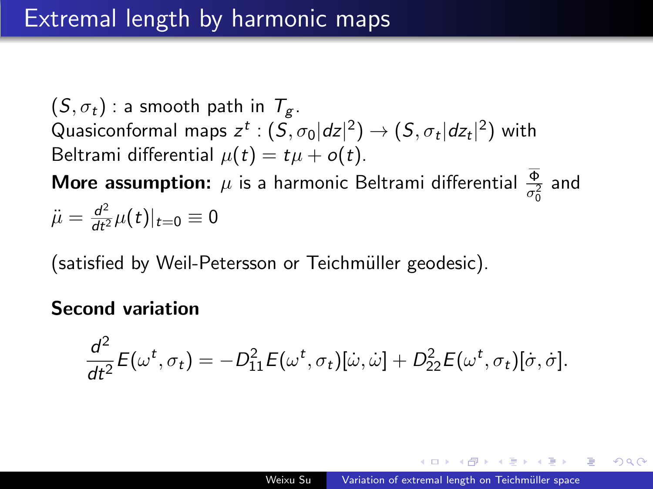$(S, \sigma_t)$ : a smooth path in  $T_g$ . Quasiconformal maps  $z^t : (S, \sigma_0 |dz|^2) \to (S, \sigma_t |dz_t|^2)$  with Beltrami differential  $\mu(t) = t\mu + o(t)$ . **More assumption:**  $\mu$  is a harmonic Beltrami differential  $\frac{\Phi}{\sigma_0^2}$  and

$$
\ddot{\mu} = \frac{d^2}{dt^2} \mu(t)|_{t=0} \equiv 0
$$

(satisfied by Weil-Petersson or Teichmüller geodesic).

#### Second variation

$$
\frac{d^2}{dt^2}E(\omega^t,\sigma_t)=-D_{11}^2E(\omega^t,\sigma_t)[\dot{\omega},\dot{\omega}]+D_{22}^2E(\omega^t,\sigma_t)[\dot{\sigma},\dot{\sigma}].
$$

つくい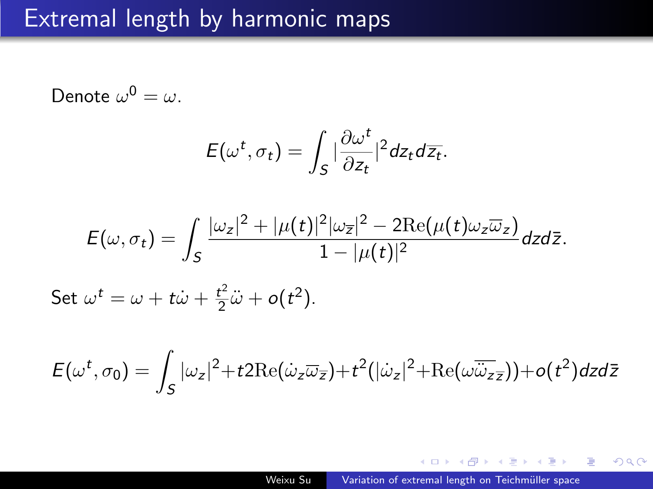#### Extremal length by harmonic maps

Denote  $\omega^0 = \omega$ .

$$
E(\omega^t, \sigma_t) = \int_S |\frac{\partial \omega^t}{\partial z_t}|^2 dz_t d\overline{z_t}.
$$

$$
E(\omega,\sigma_t)=\int_{S}\frac{|\omega_z|^2+|\mu(t)|^2|\omega_{\overline{z}}|^2-2\text{Re}(\mu(t)\omega_z\overline{\omega}_z)}{1-|\mu(t)|^2}dzd\overline{z}.
$$

Set  $\omega^t = \omega + t\dot{\omega} + \frac{t^2}{2}$  $\frac{t^2}{2}\ddot{\omega} + o(t^2)$ .

$$
E(\omega^t, \sigma_0) = \int_S |\omega_z|^2 + t2 \text{Re}(\dot{\omega}_z \overline{\omega}_{\overline{z}}) + t^2 (|\dot{\omega}_z|^2 + \text{Re}(\omega \overline{\dot{\omega}}_{z\overline{z}})) + o(t^2) dz d\overline{z}
$$

何 ▶ スミ ▶ スミ ▶ │ ヨ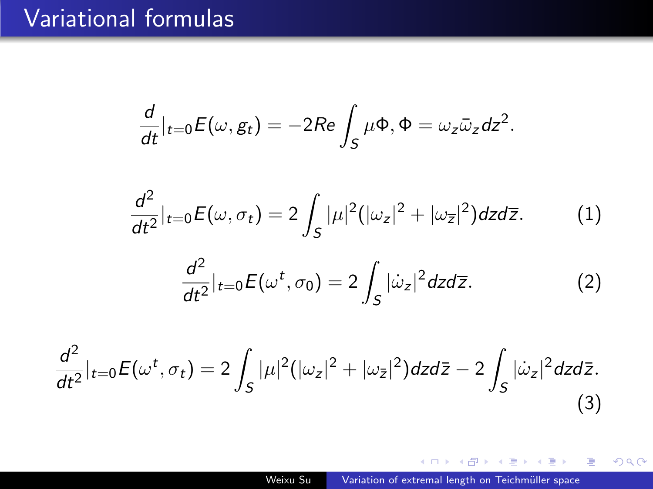## Variational formulas

$$
\frac{d}{dt}|_{t=0}E(\omega,g_t)=-2Re\int_S\mu\Phi,\Phi=\omega_z\bar{\omega}_zdz^2.
$$

$$
\frac{d^2}{dt^2}\vert_{t=0}E(\omega,\sigma_t)=2\int_S|\mu|^2(|\omega_z|^2+|\omega_{\overline{z}}|^2)dzd\overline{z}.
$$
 (1)

$$
\frac{d^2}{dt^2}\big|_{t=0} E(\omega^t, \sigma_0) = 2 \int_S |\dot{\omega}_z|^2 dz d\overline{z}.\tag{2}
$$

$$
\frac{d^2}{dt^2}\Big|_{t=0}E(\omega^t,\sigma_t)=2\int_S|\mu|^2(|\omega_z|^2+|\omega_{\bar{z}}|^2)dzd\bar{z}-2\int_S|\dot{\omega}_z|^2dzd\bar{z}.
$$
\n(3)

イロト イ部 トメ 君 トメ 君 ト

目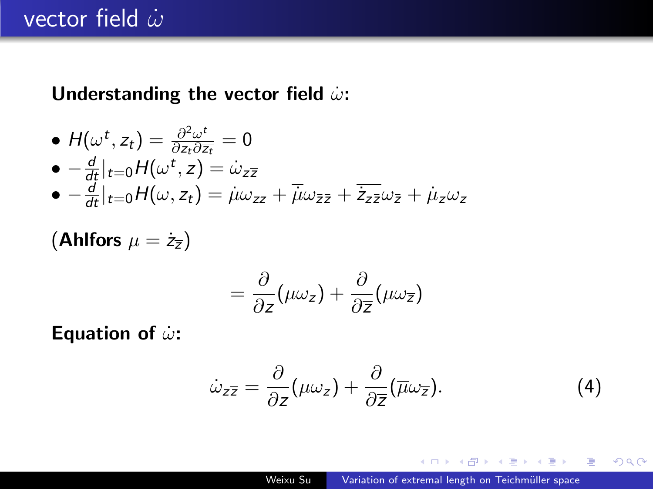Understanding the vector field  $\dot{\omega}$ :

• 
$$
H(\omega^t, z_t) = \frac{\partial^2 \omega^t}{\partial z_t \partial \overline{z_t}} = 0
$$
  
\n•  $-\frac{d}{dt}|_{t=0}H(\omega^t, z) = \dot{\omega}_{z\overline{z}}$   
\n•  $-\frac{d}{dt}|_{t=0}H(\omega, z_t) = \dot{\mu}\omega_{zz} + \overline{\dot{\mu}}\omega_{\overline{z}\overline{z}} + \overline{\dot{z}_{z\overline{z}}}\omega_{\overline{z}} + \dot{\mu}_z\omega_z$ 

(Ahlfors  $\mu = \dot{z}_{\overline{z}}$ )

$$
=\frac{\partial}{\partial z}(\mu\omega_z)+\frac{\partial}{\partial \overline{z}}(\overline{\mu}\omega_{\overline{z}})
$$

Equation of  $\dot{\omega}$ :

<span id="page-25-0"></span>
$$
\dot{\omega}_{z\overline{z}} = \frac{\partial}{\partial z}(\mu\omega_z) + \frac{\partial}{\partial \overline{z}}(\overline{\mu}\omega_{\overline{z}}).
$$
 (4)

 $299$ 

化重变 化重

 $\sim$ 重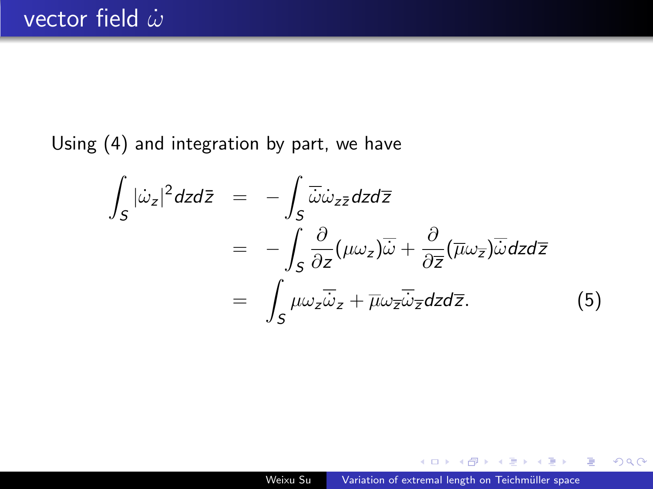Using [\(4\)](#page-25-0) and integration by part, we have

$$
\int_{S} |\dot{\omega}_{z}|^{2} dz d\bar{z} = -\int_{S} \overline{\dot{\omega}} \dot{\omega}_{z\bar{z}} dz d\bar{z} \n= -\int_{S} \frac{\partial}{\partial z} (\mu \omega_{z}) \overline{\dot{\omega}} + \frac{\partial}{\partial \bar{z}} (\overline{\mu} \omega_{\bar{z}}) \overline{\dot{\omega}} dz d\bar{z} \n= \int_{S} \mu \omega_{z} \overline{\dot{\omega}}_{z} + \overline{\mu} \omega_{\bar{z}} \overline{\dot{\omega}}_{\bar{z}} dz d\bar{z}.
$$
\n(5)

 $\left\{ \begin{array}{ccc} \pm & \pm & \pm & \pm \end{array} \right.$ 

 $299$ 

重 Þ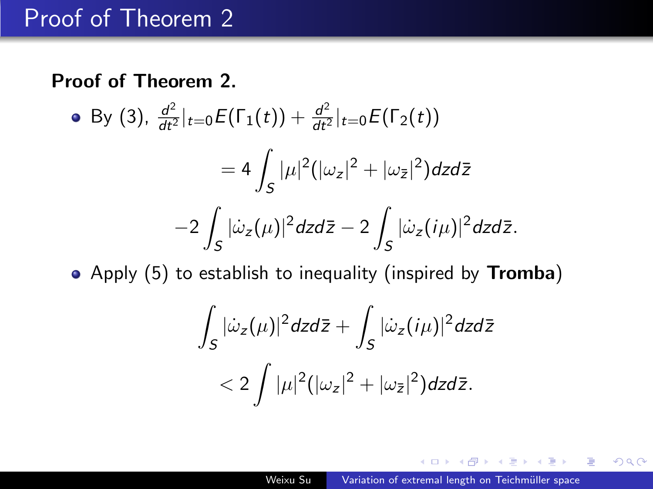### Proof of Theorem 2

#### Proof of Theorem 2.

• By (3), 
$$
\frac{d^2}{dt^2}|_{t=0} E(\Gamma_1(t)) + \frac{d^2}{dt^2}|_{t=0} E(\Gamma_2(t))
$$
  
\n
$$
= 4 \int_S |\mu|^2 (|\omega_z|^2 + |\omega_{\bar{z}}|^2) dz d\bar{z}
$$
\n
$$
-2 \int_S |\dot{\omega}_z(\mu)|^2 dz d\bar{z} - 2 \int_S |\dot{\omega}_z(i\mu)|^2 dz d\bar{z}.
$$

• Apply (5) to establish to inequality (inspired by Tromba)

$$
\int_{S} |\dot{\omega}_z(\mu)|^2 dz d\bar{z} + \int_{S} |\dot{\omega}_z(i\mu)|^2 dz d\bar{z}
$$
  
< 
$$
< 2 \int |\mu|^2 (|\omega_z|^2 + |\omega_{\bar{z}}|^2) dz d\bar{z}.
$$

 $299$ 

重

化重复 化重变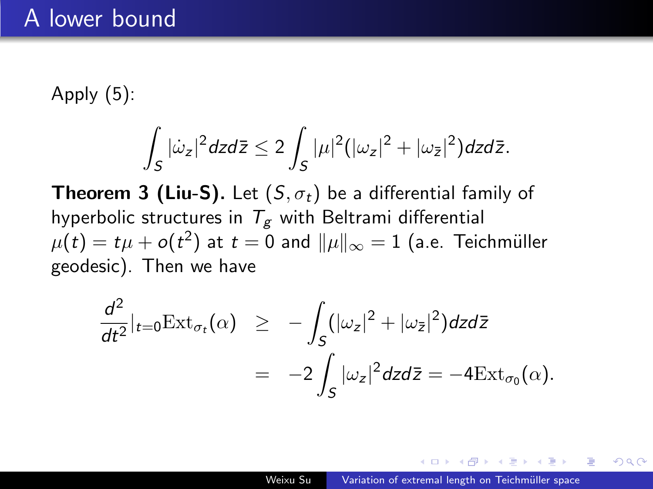Apply (5):

$$
\int_S |\dot{\omega}_z|^2 dz d\bar{z} \leq 2 \int_S |\mu|^2 (|\omega_z|^2 + |\omega_{\bar{z}}|^2) dz d\bar{z}.
$$

**Theorem 3 (Liu-S).** Let  $(S, \sigma_t)$  be a differential family of hyperbolic structures in  $T_g$  with Beltrami differential  $\mu(t)=t\mu+o(t^2)$  at  $t=0$  and  $\|\mu\|_\infty=1$  (a.e. Teichmüller geodesic). Then we have

$$
\frac{d^2}{dt^2}\Big|_{t=0} \text{Ext}_{\sigma_t}(\alpha) \quad \geq \quad -\int_S (|\omega_z|^2 + |\omega_{\bar{z}}|^2) dz d\bar{z} \\
= \quad -2\int_S |\omega_z|^2 dz d\bar{z} = -4 \text{Ext}_{\sigma_0}(\alpha).
$$

→ 重 → → 重 → →